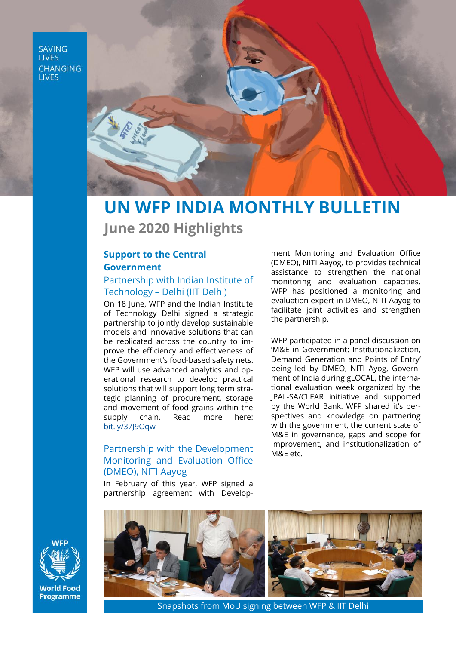**SAVING LIVES CHANGING LIVES** 



# **UN WFP INDIA MONTHLY BULLETIN June 2020 Highlights**

# **Support to the Central Government**

## Partnership with Indian Institute of Technology – Delhi (IIT Delhi)

On 18 June, WFP and the Indian Institute of Technology Delhi signed a strategic partnership to jointly develop sustainable models and innovative solutions that can be replicated across the country to improve the efficiency and effectiveness of the Government's food-based safety nets. WFP will use advanced analytics and operational research to develop practical solutions that will support long term strategic planning of procurement, storage and movement of food grains within the supply chain. Read more here: [bit.ly/37J9Oqw](https://bit.ly/37J9Oqw)

## Partnership with the Development Monitoring and Evaluation Office (DMEO), NITI Aayog

In February of this year, WFP signed a partnership agreement with Develop-

ment Monitoring and Evaluation Office (DMEO), NITI Aayog, to provides technical assistance to strengthen the national monitoring and evaluation capacities. WFP has positioned a monitoring and evaluation expert in DMEO, NITI Aayog to facilitate joint activities and strengthen the partnership.

WFP participated in a panel discussion on 'M&E in Government: Institutionalization, Demand Generation and Points of Entry' being led by DMEO, NITI Ayog, Government of India during gLOCAL, the international evaluation week organized by the JPAL-SA/CLEAR initiative and supported by the World Bank. WFP shared it's perspectives and knowledge on partnering with the government, the current state of M&E in governance, gaps and scope for improvement, and institutionalization of M&E etc.



**World Food** Programme



Snapshots from MoU signing between WFP & IIT Delhi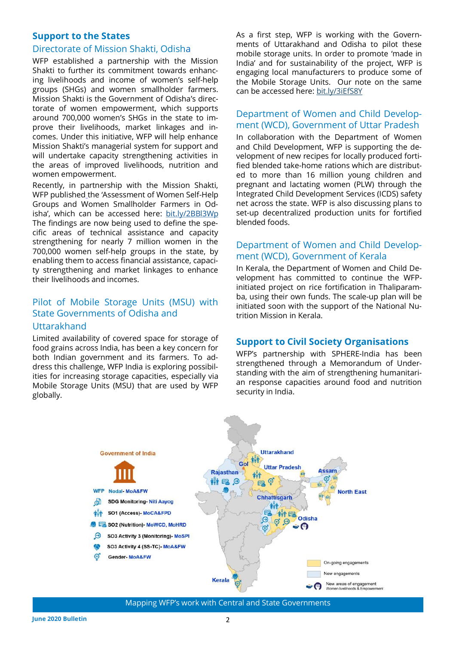#### **Support to the States**

#### Directorate of Mission Shakti, Odisha

WFP established a partnership with the Mission Shakti to further its commitment towards enhancing livelihoods and income of women's self-help groups (SHGs) and women smallholder farmers. Mission Shakti is the Government of Odisha's directorate of women empowerment, which supports around 700,000 women's SHGs in the state to improve their livelihoods, market linkages and incomes. Under this initiative, WFP will help enhance Mission Shakti's managerial system for support and will undertake capacity strengthening activities in the areas of improved livelihoods, nutrition and women empowerment.

Recently, in partnership with the Mission Shakti, WFP published the 'Assessment of Women Self-Help Groups and Women Smallholder Farmers in Odisha', which can be accessed here: bit.ly/2BBl3Wp The findings are now being used to define the specific areas of technical assistance and capacity strengthening for nearly 7 million women in the 700,000 women self-help groups in the state, by enabling them to access financial assistance, capacity strengthening and market linkages to enhance their livelihoods and incomes.

## Pilot of Mobile Storage Units (MSU) with State Governments of Odisha and

#### **Uttarakhand**

Limited availability of covered space for storage of food grains across India, has been a key concern for both Indian government and its farmers. To address this challenge, WFP India is exploring possibilities for increasing storage capacities, especially via Mobile Storage Units (MSU) that are used by WFP globally.

As a first step, WFP is working with the Governments of Uttarakhand and Odisha to pilot these mobile storage units. In order to promote 'made in India' and for sustainability of the project, WFP is engaging local manufacturers to produce some of the Mobile Storage Units. Our note on the same can be accessed here: [bit.ly/3iEfS8Y](https://bit.ly/3iEfS8Y)

## Department of Women and Child Development (WCD), Government of Uttar Pradesh

In collaboration with the Department of Women and Child Development, WFP is supporting the development of new recipes for locally produced fortified blended take-home rations which are distributed to more than 16 million young children and pregnant and lactating women (PLW) through the Integrated Child Development Services (ICDS) safety net across the state. WFP is also discussing plans to set-up decentralized production units for fortified blended foods.

### Department of Women and Child Development (WCD), Government of Kerala

In Kerala, the Department of Women and Child Development has committed to continue the WFPinitiated project on rice fortification in Thaliparamba, using their own funds. The scale-up plan will be initiated soon with the support of the National Nutrition Mission in Kerala.

#### **Support to Civil Society Organisations**

WFP's partnership with SPHERE-India has been strengthened through a Memorandum of Understanding with the aim of strengthening humanitarian response capacities around food and nutrition security in India.



Mapping WFP's work with Central and State Governments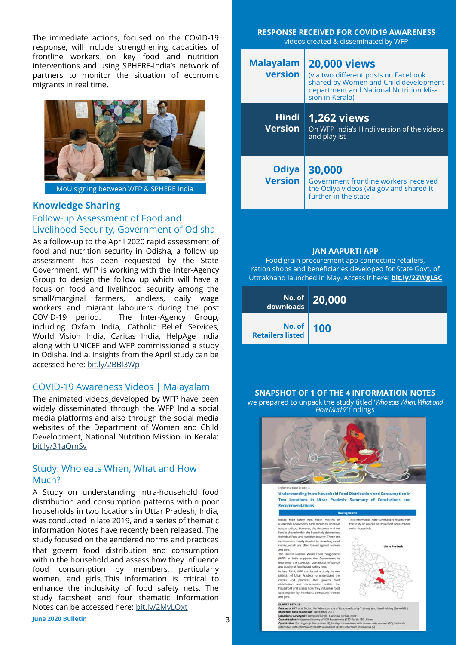The immediate actions, focused on the COVID-19 response, will include strengthening capacities of frontline workers on key food and nutrition interventions and using SPHERE-India's network of partners to monitor the situation of economic migrants in real time.



MoU signing between WFP & SPHERE India

#### **Knowledge Sharing**

## Follow-up Assessment of Food and Livelihood Security, Government of Odisha

As a follow-up to the April 2020 rapid assessment of food and nutrition security in Odisha, a follow up assessment has been requested by the State Government. WFP is working with the Inter-Agency Group to design the follow up which will have a focus on food and livelihood security among the small/marginal farmers, landless, daily wage workers and migrant labourers during the post COVID-19 period. The Inter-Agency Group, including Oxfam India, Catholic Relief Services, World Vision India, Caritas India, HelpAge India along with UNICEF and WFP commissioned a study in Odisha, India. Insights from the April study can be accessed here: [bit.ly/2BBl3Wp](http://bit.ly/2BBl3Wp)

#### COVID-19 Awareness Videos | Malayalam

The animated videos\_developed by WFP have been widely disseminated through the WFP India social media platforms and also through the social media websites of the Department of Women and Child Development, National Nutrition Mission, in Kerala: [bit.ly/31aQmSv](https://bit.ly/31aQmSv)

#### Study: Who eats When, What and How Much?

A Study on understanding intra-household food distribution and consumption patterns within poor households in two locations in Uttar Pradesh, India, was conducted in late 2019, and a series of thematic information Notes have recently been released. The study focused on the gendered norms and practices that govern food distribution and consumption within the household and assess how they influence food consumption by members, particularly women. and girls. This information is critical to enhance the inclusivity of food safety nets. The study factsheet and four thematic Information Notes can be accessed here: [bit.ly/2MvLOxt](https://eur03.safelinks.protection.outlook.com/?url=https%3A%2F%2Fbit.ly%2F2MvLOxt&data=02%7C01%7Cshruti%40wfp.org%7Cd2847f3d87df486c78fa08d82e04f139%7C462ad9aed7d94206b87471b1e079776f%7C0%7C0%7C637309946045999515&sdata=83FB%2BST3jXkMGilJ8YHO%2FNLs1x56BS6FkOl)

3

| <b>RESPONSE RECEIVED FOR COVID19 AWARENESS</b> |
|------------------------------------------------|
| videos created & disseminated by WFP           |
|                                                |

| <b>Malayalam</b><br>version    | <b>20,000 views</b><br>(via two different posts on Facebook<br>shared by Women and Child development<br>department and National Nutrition Mis-<br>sion in Kerala) |
|--------------------------------|-------------------------------------------------------------------------------------------------------------------------------------------------------------------|
| <b>Hindi</b><br><b>Version</b> | <b>1,262 views</b><br>On WFP India's Hindi version of the videos<br>and playlist                                                                                  |
| <b>Odiya</b><br><b>Version</b> | 30,000<br>Government frontline workers received<br>the Odiya videos (via gov and shared it<br>further in the state                                                |

#### **JAN AAPURTI APP**

Food grain procurement app connecting retailers, ration shops and beneficiaries developed for State Govt. of Uttrakhand launched in May. Access it here: **[bit.ly/2ZWgL5C](https://bit.ly/2ZWgL5C)**

| No. of 20,000 |  |
|---------------|--|
| No. of 100    |  |

#### **SNAPSHOT OF 1 OF THE 4 INFORMATION NOTES**

we prepared to unpack the study titled '*Who eats When, What and How Much?'* findings